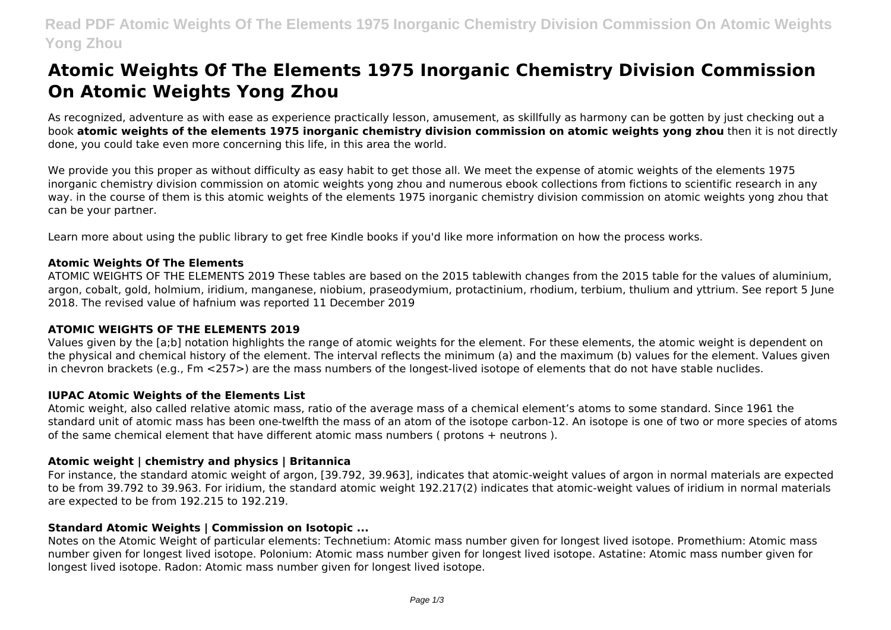# **Read PDF Atomic Weights Of The Elements 1975 Inorganic Chemistry Division Commission On Atomic Weights Yong Zhou**

# **Atomic Weights Of The Elements 1975 Inorganic Chemistry Division Commission On Atomic Weights Yong Zhou**

As recognized, adventure as with ease as experience practically lesson, amusement, as skillfully as harmony can be gotten by just checking out a book **atomic weights of the elements 1975 inorganic chemistry division commission on atomic weights yong zhou** then it is not directly done, you could take even more concerning this life, in this area the world.

We provide you this proper as without difficulty as easy habit to get those all. We meet the expense of atomic weights of the elements 1975 inorganic chemistry division commission on atomic weights yong zhou and numerous ebook collections from fictions to scientific research in any way. in the course of them is this atomic weights of the elements 1975 inorganic chemistry division commission on atomic weights yong zhou that can be your partner.

Learn more about using the public library to get free Kindle books if you'd like more information on how the process works.

### **Atomic Weights Of The Elements**

ATOMIC WEIGHTS OF THE ELEMENTS 2019 These tables are based on the 2015 tablewith changes from the 2015 table for the values of aluminium, argon, cobalt, gold, holmium, iridium, manganese, niobium, praseodymium, protactinium, rhodium, terbium, thulium and yttrium. See report 5 June 2018. The revised value of hafnium was reported 11 December 2019

#### **ATOMIC WEIGHTS OF THE ELEMENTS 2019**

Values given by the [a;b] notation highlights the range of atomic weights for the element. For these elements, the atomic weight is dependent on the physical and chemical history of the element. The interval reflects the minimum (a) and the maximum (b) values for the element. Values given in chevron brackets (e.g., Fm <257>) are the mass numbers of the longest-lived isotope of elements that do not have stable nuclides.

#### **IUPAC Atomic Weights of the Elements List**

Atomic weight, also called relative atomic mass, ratio of the average mass of a chemical element's atoms to some standard. Since 1961 the standard unit of atomic mass has been one-twelfth the mass of an atom of the isotope carbon-12. An isotope is one of two or more species of atoms of the same chemical element that have different atomic mass numbers ( protons + neutrons ).

# **Atomic weight | chemistry and physics | Britannica**

For instance, the standard atomic weight of argon, [39.792, 39.963], indicates that atomic-weight values of argon in normal materials are expected to be from 39.792 to 39.963. For iridium, the standard atomic weight 192.217(2) indicates that atomic-weight values of iridium in normal materials are expected to be from 192.215 to 192.219.

#### **Standard Atomic Weights | Commission on Isotopic ...**

Notes on the Atomic Weight of particular elements: Technetium: Atomic mass number given for longest lived isotope. Promethium: Atomic mass number given for longest lived isotope. Polonium: Atomic mass number given for longest lived isotope. Astatine: Atomic mass number given for longest lived isotope. Radon: Atomic mass number given for longest lived isotope.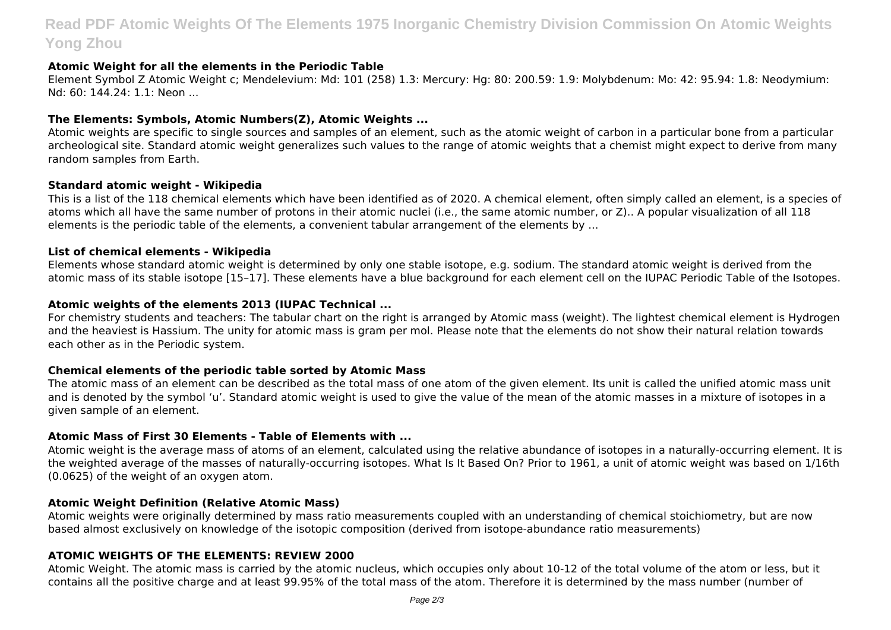# **Read PDF Atomic Weights Of The Elements 1975 Inorganic Chemistry Division Commission On Atomic Weights Yong Zhou**

#### **Atomic Weight for all the elements in the Periodic Table**

Element Symbol Z Atomic Weight c; Mendelevium: Md: 101 (258) 1.3: Mercury: Hg: 80: 200.59: 1.9: Molybdenum: Mo: 42: 95.94: 1.8: Neodymium: Nd: 60: 144.24: 1.1: Neon ...

#### **The Elements: Symbols, Atomic Numbers(Z), Atomic Weights ...**

Atomic weights are specific to single sources and samples of an element, such as the atomic weight of carbon in a particular bone from a particular archeological site. Standard atomic weight generalizes such values to the range of atomic weights that a chemist might expect to derive from many random samples from Earth.

#### **Standard atomic weight - Wikipedia**

This is a list of the 118 chemical elements which have been identified as of 2020. A chemical element, often simply called an element, is a species of atoms which all have the same number of protons in their atomic nuclei (i.e., the same atomic number, or Z).. A popular visualization of all 118 elements is the periodic table of the elements, a convenient tabular arrangement of the elements by ...

#### **List of chemical elements - Wikipedia**

Elements whose standard atomic weight is determined by only one stable isotope, e.g. sodium. The standard atomic weight is derived from the atomic mass of its stable isotope [15–17]. These elements have a blue background for each element cell on the IUPAC Periodic Table of the Isotopes.

#### **Atomic weights of the elements 2013 (IUPAC Technical ...**

For chemistry students and teachers: The tabular chart on the right is arranged by Atomic mass (weight). The lightest chemical element is Hydrogen and the heaviest is Hassium. The unity for atomic mass is gram per mol. Please note that the elements do not show their natural relation towards each other as in the Periodic system.

#### **Chemical elements of the periodic table sorted by Atomic Mass**

The atomic mass of an element can be described as the total mass of one atom of the given element. Its unit is called the unified atomic mass unit and is denoted by the symbol 'u'. Standard atomic weight is used to give the value of the mean of the atomic masses in a mixture of isotopes in a given sample of an element.

#### **Atomic Mass of First 30 Elements - Table of Elements with ...**

Atomic weight is the average mass of atoms of an element, calculated using the relative abundance of isotopes in a naturally-occurring element. It is the weighted average of the masses of naturally-occurring isotopes. What Is It Based On? Prior to 1961, a unit of atomic weight was based on 1/16th (0.0625) of the weight of an oxygen atom.

#### **Atomic Weight Definition (Relative Atomic Mass)**

Atomic weights were originally determined by mass ratio measurements coupled with an understanding of chemical stoichiometry, but are now based almost exclusively on knowledge of the isotopic composition (derived from isotope-abundance ratio measurements)

#### **ATOMIC WEIGHTS OF THE ELEMENTS: REVIEW 2000**

Atomic Weight. The atomic mass is carried by the atomic nucleus, which occupies only about 10-12 of the total volume of the atom or less, but it contains all the positive charge and at least 99.95% of the total mass of the atom. Therefore it is determined by the mass number (number of